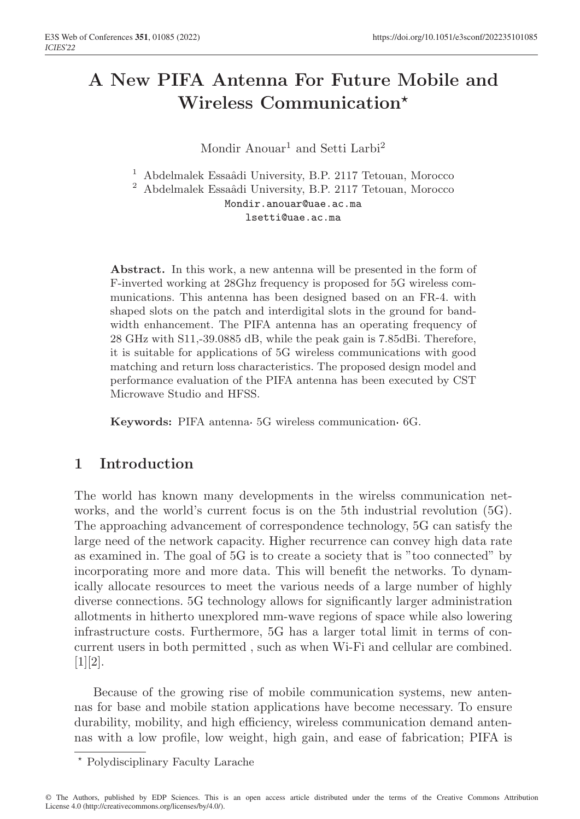# A New PIFA Antenna For Future Mobile and Wireless Communication*?*

 $\bf{Mondir}\ Anouar^1$  and  $\bf{Setti}\ Larbi^2$ 

 $^1\,$  Abdelmalek Essaâdi University, B.P. 2117 Tetouan, Morocco

 $^2\,$  Abdelmalek Essaâdi University, B.P. 2117 Tetouan, Morocco Mondir.anouar@uae.ac.ma

lsetti@uae.ac.ma

Abstract. In this work, a new antenna will be presented in the form of F-inverted working at 28Ghz frequency is proposed for 5G wireless communications. This antenna has been designed based on an FR-4. with shaped slots on the patch and interdigital slots in the ground for bandwidth enhancement. The PIFA antenna has an operating frequency of 28 GHz with S11,-39.0885 dB, while the peak gain is 7.85dBi. Therefore, it is suitable for applications of 5G wireless communications with good matching and return loss characteristics. The proposed design model and performance evaluation of the PIFA antenna has been executed by CST Microwave Studio and HFSS.

Keywords: PIFA antenna 5G wireless communication 6G.

# 1 Introduction

The world has known many developments in the wirelss communication networks, and the world's current focus is on the 5th industrial revolution (5G). The approaching advancement of correspondence technology, 5G can satisfy the large need of the network capacity. Higher recurrence can convey high data rate as examined in. The goal of 5G is to create a society that is "too connected" by incorporating more and more data. This will benefit the networks. To dynamically allocate resources to meet the various needs of a large number of highly diverse connections. 5G technology allows for significantly larger administration allotments in hitherto unexplored mm-wave regions of space while also lowering infrastructure costs. Furthermore, 5G has a larger total limit in terms of concurrent users in both permitted , such as when Wi-Fi and cellular are combined.  $[1][2]$ .

Because of the growing rise of mobile communication systems, new antennas for base and mobile station applications have become necessary. To ensure durability, mobility, and high efficiency, wireless communication demand antennas with a low profile, low weight, high gain, and ease of fabrication; PIFA is

*<sup>?</sup>* Polydisciplinary Faculty Larache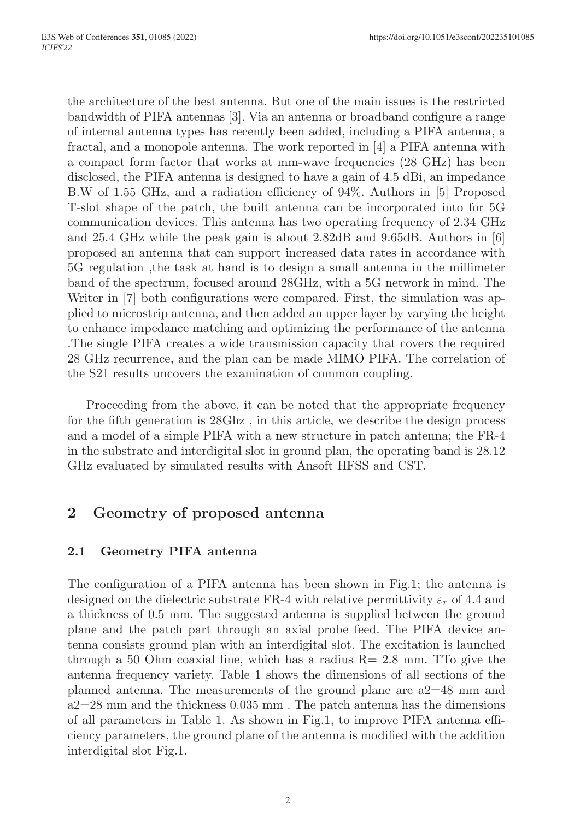the architecture of the best antenna. But one of the main issues is the restricted bandwidth of PIFA antennas [3]. Via an antenna or broadband configure a range of internal antenna types has recently been added, including a PIFA antenna, a fractal, and a monopole antenna. The work reported in [4] a PIFA antenna with a compact form factor that works at mm-wave frequencies (28 GHz) has been disclosed, the PIFA antenna is designed to have a gain of 4.5 dBi, an impedance B.W of 1.55 GHz, and a radiation efficiency of 94%. Authors in [5] Proposed T-slot shape of the patch, the built antenna can be incorporated into for 5G communication devices. This antenna has two operating frequency of 2.34 GHz and 25.4 GHz while the peak gain is about 2.82dB and 9.65dB. Authors in [6] proposed an antenna that can support increased data rates in accordance with 5G regulation ,the task at hand is to design a small antenna in the millimeter band of the spectrum, focused around 28GHz, with a 5G network in mind. The Writer in [7] both configurations were compared. First, the simulation was applied to microstrip antenna, and then added an upper layer by varying the height to enhance impedance matching and optimizing the performance of the antenna .The single PIFA creates a wide transmission capacity that covers the required 28 GHz recurrence, and the plan can be made MIMO PIFA. The correlation of the S21 results uncovers the examination of common coupling.

Proceeding from the above, it can be noted that the appropriate frequency for the fifth generation is 28Ghz , in this article, we describe the design process and a model of a simple PIFA with a new structure in patch antenna; the FR-4 in the substrate and interdigital slot in ground plan, the operating band is 28.12 GHz evaluated by simulated results with Ansoft HFSS and CST.

# 2 Geometry of proposed antenna

### 2.1 Geometry PIFA antenna

The configuration of a PIFA antenna has been shown in Fig.1; the antenna is designed on the dielectric substrate FR-4 with relative permittivity  $\varepsilon_r$  of 4.4 and a thickness of 0.5 mm. The suggested antenna is supplied between the ground plane and the patch part through an axial probe feed. The PIFA device antenna consists ground plan with an interdigital slot. The excitation is launched through a 50 Ohm coaxial line, which has a radius  $R = 2.8$  mm. TTo give the antenna frequency variety. Table 1 shows the dimensions of all sections of the planned antenna. The measurements of the ground plane are a2=48 mm and  $a2=28$  mm and the thickness 0.035 mm. The patch antenna has the dimensions of all parameters in Table 1. As shown in Fig.1, to improve PIFA antenna efficiency parameters, the ground plane of the antenna is modified with the addition interdigital slot Fig.1.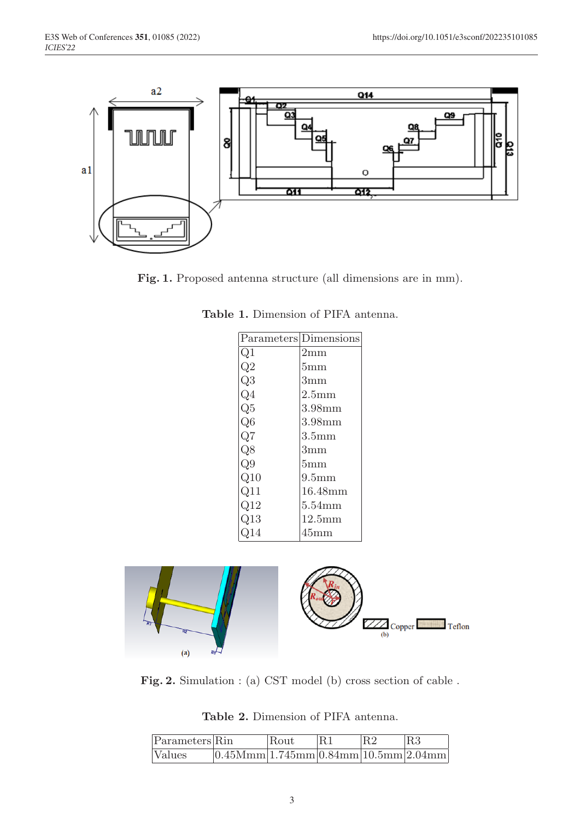

Fig. 1. Proposed antenna structure (all dimensions are in mm).

|                 | Parameters Dimensions |  |  |
|-----------------|-----------------------|--|--|
| Q1              | $2 \mathrm{mm}$       |  |  |
| $\mathfrak{D}2$ | 5mm                   |  |  |
| Q3              | $3 \text{mm}$         |  |  |
| Э4              | 2.5 <sub>mm</sub>     |  |  |
| $\Im5$          | 3.98mm                |  |  |
| Q6              | 3.98mm                |  |  |
| Q7              | 3.5 <sub>mm</sub>     |  |  |
| Q8              | 3mm                   |  |  |
| Q9              | $5 \text{mm}$         |  |  |
| $\rm Q10$       | 9.5 <sub>mm</sub>     |  |  |
| Q11             | 16.48mm               |  |  |
| $\mathrm{Q}12$  | $5.54 \text{mm}$      |  |  |
| Q13             | 12.5mm                |  |  |
| 14              | 45mm                  |  |  |

Table 1. Dimension of PIFA antenna.



Fig. 2. Simulation : (a) CST model (b) cross section of cable .

Table 2. Dimension of PIFA antenna.

| $\left  \text{Parameters} \right $ Rin |                                                  | Rout | R1 |  |
|----------------------------------------|--------------------------------------------------|------|----|--|
| <i>Nalues</i>                          | $[0.45Mmm]$ 1.745mm $[0.84mm]$ 10.5mm $[2.04mm]$ |      |    |  |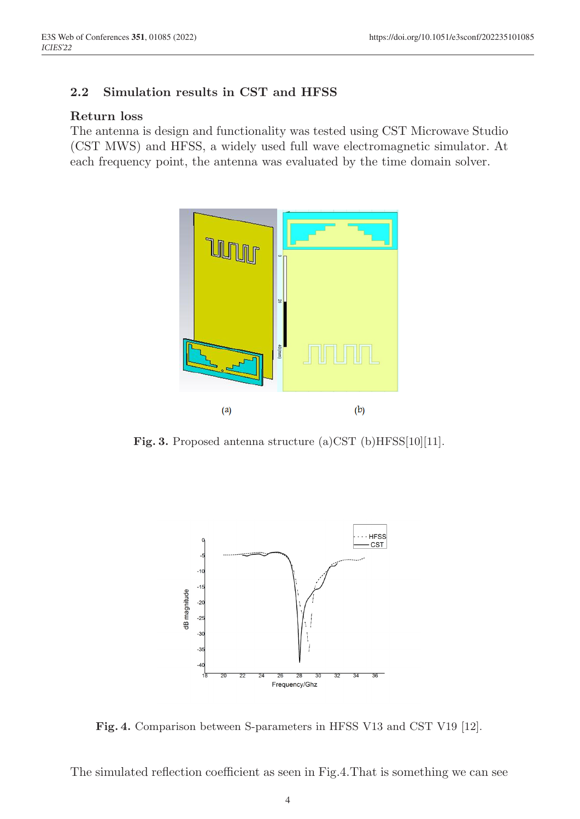#### 2.2 Simulation results in CST and HFSS

#### Return loss

The antenna is design and functionality was tested using CST Microwave Studio (CST MWS) and HFSS, a widely used full wave electromagnetic simulator. At each frequency point, the antenna was evaluated by the time domain solver.



Fig. 3. Proposed antenna structure (a)CST (b)HFSS[10][11].



Fig. 4. Comparison between S-parameters in HFSS V13 and CST V19 [12].

The simulated reflection coefficient as seen in Fig.4.That is something we can see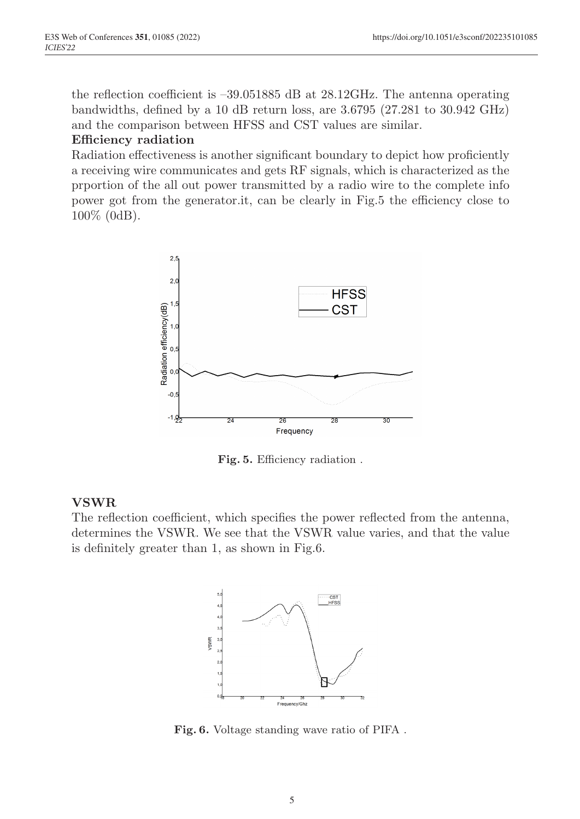the reflection coefficient is –39.051885 dB at 28.12GHz. The antenna operating bandwidths, defined by a 10 dB return loss, are 3.6795 (27.281 to 30.942 GHz) and the comparison between HFSS and CST values are similar.

#### Efficiency radiation

Radiation effectiveness is another significant boundary to depict how proficiently a receiving wire communicates and gets RF signals, which is characterized as the prportion of the all out power transmitted by a radio wire to the complete info power got from the generator.it, can be clearly in Fig.5 the efficiency close to 100% (0dB).



Fig. 5. Efficiency radiation .

#### VSWR

The reflection coefficient, which specifies the power reflected from the antenna, determines the VSWR. We see that the VSWR value varies, and that the value is definitely greater than 1, as shown in Fig.6.



Fig. 6. Voltage standing wave ratio of PIFA .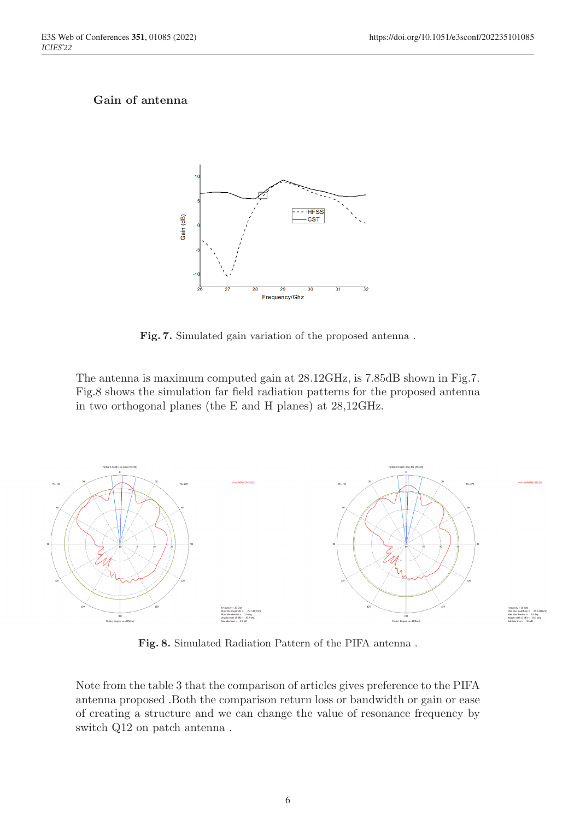#### Gain of antenna



Fig. 7. Simulated gain variation of the proposed antenna .

The antenna is maximum computed gain at 28.12GHz, is 7.85dB shown in Fig.7. Fig.8 shows the simulation far field radiation patterns for the proposed antenna in two orthogonal planes (the E and H planes) at 28,12GHz.



Fig. 8. Simulated Radiation Pattern of the PIFA antenna .

Note from the table 3 that the comparison of articles gives preference to the PIFA antenna proposed .Both the comparison return loss or bandwidth or gain or ease of creating a structure and we can change the value of resonance frequency by switch Q12 on patch antenna .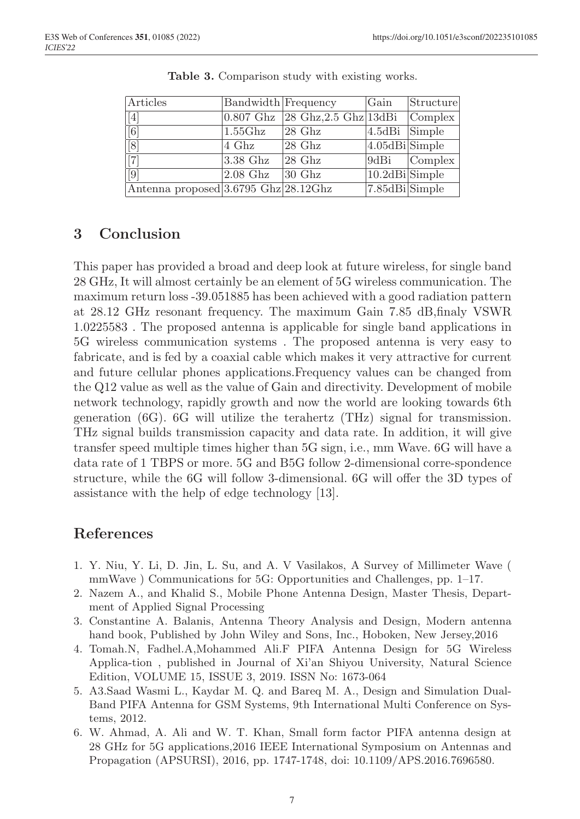| Articles                             | Bandwidth Frequency |                                                                                        | Gain               | Structure               |
|--------------------------------------|---------------------|----------------------------------------------------------------------------------------|--------------------|-------------------------|
| $\boxed{[4]}$                        |                     | $ 0.807 \text{ Ghz } 28 \text{ Ghz}, 2.5 \text{ Ghz } 13 \text{dBi }  \text{Complex }$ |                    |                         |
| $\overline{\left[ 6\right] }$        | $1.55{\rm Ghz}$     | $ 28 \text{ Ghz} $                                                                     | 4.5dBi Simple      |                         |
| $\overline{[8]}$                     | $4 \text{ Ghz}$     | $ 28 \text{ Ghz} $                                                                     | $4.05dBi$ Simple   |                         |
| $\sqrt{7}$                           | $3.38$ Ghz          | $ 28 \text{ Ghz} $                                                                     |                    | $9dBi$ $\lvert$ Complex |
| $\boxed{9}$                          | $2.08$ Ghz          | $ 30 \text{ Ghz} $                                                                     | $ 10.2dBi $ Simple |                         |
| Antenna proposed 3.6795 Ghz 28.12Ghz |                     |                                                                                        | 7.85dBiSimple      |                         |

Table 3. Comparison study with existing works.

# 3 Conclusion

This paper has provided a broad and deep look at future wireless, for single band 28 GHz, It will almost certainly be an element of 5G wireless communication. The maximum return loss -39.051885 has been achieved with a good radiation pattern at 28.12 GHz resonant frequency. The maximum Gain 7.85 dB,finaly VSWR 1.0225583 . The proposed antenna is applicable for single band applications in 5G wireless communication systems . The proposed antenna is very easy to fabricate, and is fed by a coaxial cable which makes it very attractive for current and future cellular phones applications.Frequency values can be changed from the Q12 value as well as the value of Gain and directivity. Development of mobile network technology, rapidly growth and now the world are looking towards 6th generation (6G). 6G will utilize the terahertz (THz) signal for transmission. THz signal builds transmission capacity and data rate. In addition, it will give transfer speed multiple times higher than 5G sign, i.e., mm Wave. 6G will have a data rate of 1 TBPS or more. 5G and B5G follow 2-dimensional corre-spondence structure, while the  $6G$  will follow 3-dimensional.  $6G$  will offer the 3D types of assistance with the help of edge technology [13].

# References

- 1. Y. Niu, Y. Li, D. Jin, L. Su, and A. V Vasilakos, A Survey of Millimeter Wave ( mmWave ) Communications for 5G: Opportunities and Challenges, pp. 1–17.
- 2. Nazem A., and Khalid S., Mobile Phone Antenna Design, Master Thesis, Department of Applied Signal Processing
- 3. Constantine A. Balanis, Antenna Theory Analysis and Design, Modern antenna hand book, Published by John Wiley and Sons, Inc., Hoboken, New Jersey,2016
- 4. Tomah.N, Fadhel.A,Mohammed Ali.F PIFA Antenna Design for 5G Wireless Applica-tion , published in Journal of Xi'an Shiyou University, Natural Science Edition, VOLUME 15, ISSUE 3, 2019. ISSN No: 1673-064
- 5. A3.Saad Wasmi L., Kaydar M. Q. and Bareq M. A., Design and Simulation Dual-Band PIFA Antenna for GSM Systems, 9th International Multi Conference on Systems, 2012.
- 6. W. Ahmad, A. Ali and W. T. Khan, Small form factor PIFA antenna design at 28 GHz for 5G applications,2016 IEEE International Symposium on Antennas and Propagation (APSURSI), 2016, pp. 1747-1748, doi: 10.1109/APS.2016.7696580.